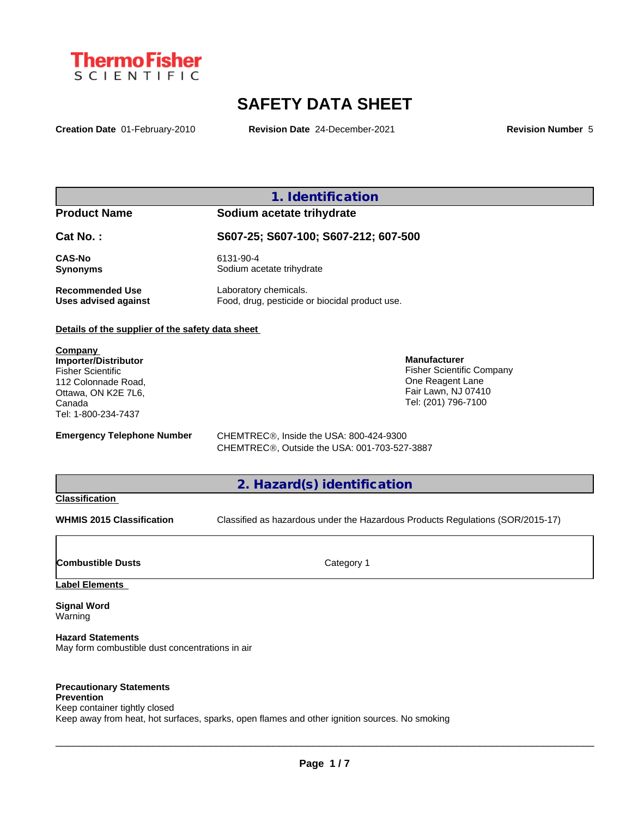

# **SAFETY DATA SHEET**

**Creation Date** 01-February-2010 **Revision Date** 24-December-2021 **Revision Number** 5

## **1. Identification**

### **Product Name Sodium acetate trihydrate**

**Cat No. : S607-25; S607-100; S607-212; 607-500**

**CAS-No** 6131-90-4 **Synonyms** Sodium acetate trihydrate

# **Recommended Use** Laboratory chemicals.<br> **Uses advised against** Food, drug, pesticide of Food, drug, pesticide or biocidal product use.

### **Details of the supplier of the safety data sheet**

**Company Importer/Distributor** Fisher Scientific 112 Colonnade Road, Ottawa, ON K2E 7L6, Canada Tel: 1-800-234-7437

Fisher Scientific Company One Reagent Lane Fair Lawn, NJ 07410 Tel: (201) 796-7100

**Manufacturer**

**Emergency Telephone Number** CHEMTREC<sup>®</sup>, Inside the USA: 800-424-9300 CHEMTREC®, Outside the USA: 001-703-527-3887

## **2. Hazard(s) identification**

### **Classification**

**WHMIS 2015 Classification** Classified as hazardous under the Hazardous Products Regulations (SOR/2015-17)

 $\_$  ,  $\_$  ,  $\_$  ,  $\_$  ,  $\_$  ,  $\_$  ,  $\_$  ,  $\_$  ,  $\_$  ,  $\_$  ,  $\_$  ,  $\_$  ,  $\_$  ,  $\_$  ,  $\_$  ,  $\_$  ,  $\_$  ,  $\_$  ,  $\_$  ,  $\_$  ,  $\_$  ,  $\_$  ,  $\_$  ,  $\_$  ,  $\_$  ,  $\_$  ,  $\_$  ,  $\_$  ,  $\_$  ,  $\_$  ,  $\_$  ,  $\_$  ,  $\_$  ,  $\_$  ,  $\_$  ,  $\_$  ,  $\_$  ,

**Combustible Dusts** Category 1

**Label Elements**

**Signal Word** Warning

**Hazard Statements** May form combustible dust concentrations in air

#### **Precautionary Statements Prevention**

Keep container tightly closed Keep away from heat, hot surfaces, sparks, open flames and other ignition sources. No smoking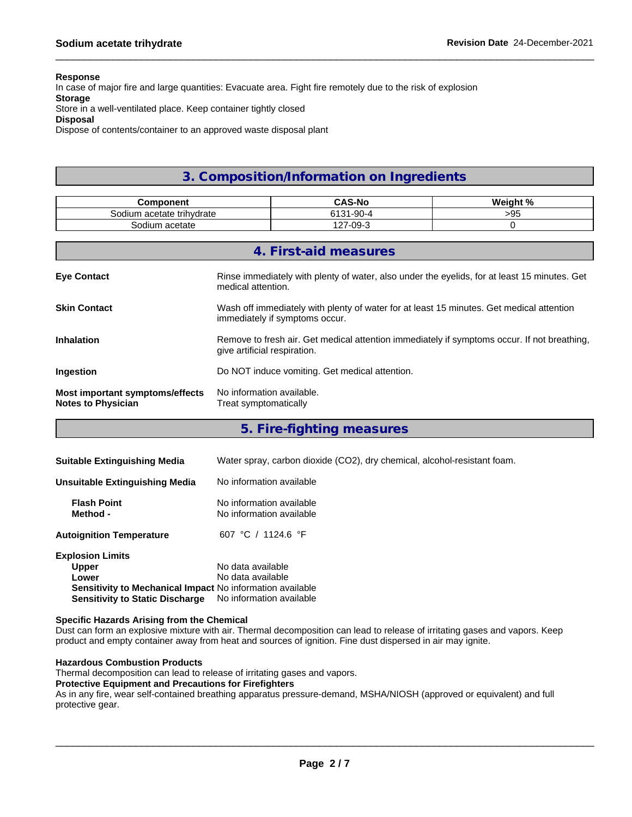#### **Response**

In case of major fire and large quantities: Evacuate area. Fight fire remotely due to the risk of explosion

### **Storage**

Store in a well-ventilated place. Keep container tightly closed

#### **Disposal**

Dispose of contents/container to an approved waste disposal plant

# **3. Composition/Information on Ingredients**

| <b>Component</b>                                             | <b>CAS-No</b><br>Weight %                                                                                                   |                                                                                              |          |  |
|--------------------------------------------------------------|-----------------------------------------------------------------------------------------------------------------------------|----------------------------------------------------------------------------------------------|----------|--|
| Sodium acetate trihydrate                                    |                                                                                                                             | 6131-90-4                                                                                    | >95      |  |
| Sodium acetate                                               |                                                                                                                             | 127-09-3                                                                                     | $\Omega$ |  |
|                                                              |                                                                                                                             |                                                                                              |          |  |
|                                                              |                                                                                                                             | 4. First-aid measures                                                                        |          |  |
| <b>Eye Contact</b>                                           | medical attention.                                                                                                          | Rinse immediately with plenty of water, also under the eyelids, for at least 15 minutes. Get |          |  |
| <b>Skin Contact</b>                                          | Wash off immediately with plenty of water for at least 15 minutes. Get medical attention<br>immediately if symptoms occur.  |                                                                                              |          |  |
| <b>Inhalation</b>                                            | Remove to fresh air. Get medical attention immediately if symptoms occur. If not breathing,<br>give artificial respiration. |                                                                                              |          |  |
| <b>Ingestion</b>                                             | Do NOT induce vomiting. Get medical attention.                                                                              |                                                                                              |          |  |
| Most important symptoms/effects<br><b>Notes to Physician</b> | No information available.<br>Treat symptomatically                                                                          |                                                                                              |          |  |

**5. Fire-fighting measures**

| <b>Suitable Extinguishing Media</b>                       | Water spray, carbon dioxide (CO2), dry chemical, alcohol-resistant foam. |
|-----------------------------------------------------------|--------------------------------------------------------------------------|
| Unsuitable Extinguishing Media                            | No information available                                                 |
| <b>Flash Point</b><br>Method -                            | No information available<br>No information available                     |
| <b>Autoignition Temperature</b>                           | 607 °C / 1124.6 °F                                                       |
| <b>Explosion Limits</b>                                   |                                                                          |
| <b>Upper</b>                                              | No data available                                                        |
| Lower                                                     | No data available                                                        |
| Sensitivity to Mechanical Impact No information available |                                                                          |
| <b>Sensitivity to Static Discharge</b>                    | No information available                                                 |

#### **Specific Hazards Arising from the Chemical**

Dust can form an explosive mixture with air. Thermal decomposition can lead to release of irritating gases and vapors. Keep product and empty container away from heat and sources of ignition. Fine dust dispersed in air may ignite.

#### **Hazardous Combustion Products**

Thermal decomposition can lead to release of irritating gases and vapors.

#### **Protective Equipment and Precautions for Firefighters**

As in any fire, wear self-contained breathing apparatus pressure-demand, MSHA/NIOSH (approved or equivalent) and full protective gear.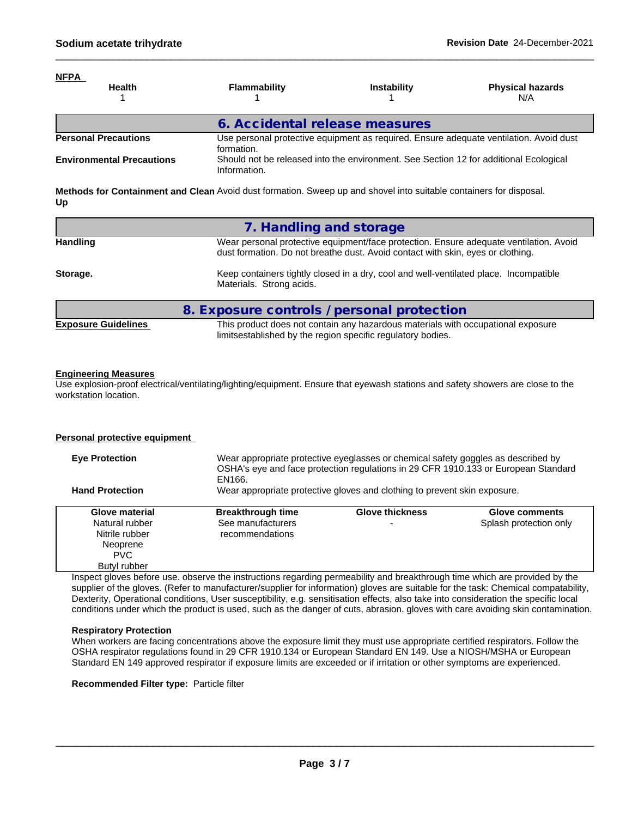| <u>NFPA</u><br><b>Health</b>     | Flammability                                                                                         | <b>Instability</b> | <b>Physical hazards</b><br>N/A |  |
|----------------------------------|------------------------------------------------------------------------------------------------------|--------------------|--------------------------------|--|
|                                  | 6. Accidental release measures                                                                       |                    |                                |  |
| <b>Personal Precautions</b>      | Use personal protective equipment as required. Ensure adequate ventilation. Avoid dust<br>formation. |                    |                                |  |
| <b>Environmental Precautions</b> | Should not be released into the environment. See Section 12 for additional Ecological                |                    |                                |  |

**Methods for Containment and Clean** Avoid dust formation. Sweep up and shovel into suitable containers for disposal. **Up**

Information.

|                            | 7. Handling and storage                                                                                                                                                   |
|----------------------------|---------------------------------------------------------------------------------------------------------------------------------------------------------------------------|
| <b>Handling</b>            | Wear personal protective equipment/face protection. Ensure adequate ventilation. Avoid<br>dust formation. Do not breathe dust. Avoid contact with skin, eyes or clothing. |
| Storage.                   | Keep containers tightly closed in a dry, cool and well-ventilated place. Incompatible<br>Materials. Strong acids.                                                         |
|                            | 8. Exposure controls / personal protection                                                                                                                                |
| <b>Exposure Guidelines</b> | This product does not contain any hazardous materials with occupational exposure<br>limitsestablished by the region specific regulatory bodies.                           |

#### **Engineering Measures**

Use explosion-proof electrical/ventilating/lighting/equipment. Ensure that eyewash stations and safety showers are close to the workstation location.

#### **Personal protective equipment**

| <b>Eve Protection</b>  | Wear appropriate protective eyeglasses or chemical safety goggles as described by<br>OSHA's eye and face protection regulations in 29 CFR 1910.133 or European Standard<br>EN166. |                                                                           |                        |  |
|------------------------|-----------------------------------------------------------------------------------------------------------------------------------------------------------------------------------|---------------------------------------------------------------------------|------------------------|--|
| <b>Hand Protection</b> |                                                                                                                                                                                   | Wear appropriate protective gloves and clothing to prevent skin exposure. |                        |  |
| Glove material         | <b>Breakthrough time</b>                                                                                                                                                          | <b>Glove thickness</b>                                                    | Glove comments         |  |
| Natural rubber         | See manufacturers                                                                                                                                                                 |                                                                           | Splash protection only |  |
| Nitrile rubber         | recommendations                                                                                                                                                                   |                                                                           |                        |  |
| Neoprene               |                                                                                                                                                                                   |                                                                           |                        |  |
| <b>PVC</b>             |                                                                                                                                                                                   |                                                                           |                        |  |
| Butyl rubber           |                                                                                                                                                                                   |                                                                           |                        |  |

Inspect gloves before use. observe the instructions regarding permeability and breakthrough time which are provided by the supplier of the gloves. (Refer to manufacturer/supplier for information) gloves are suitable for the task: Chemical compatability, Dexterity, Operational conditions, User susceptibility, e.g. sensitisation effects, also take into consideration the specific local conditions under which the product is used, such as the danger of cuts, abrasion. gloves with care avoiding skin contamination.

#### **Respiratory Protection**

When workers are facing concentrations above the exposure limit they must use appropriate certified respirators. Follow the OSHA respirator regulations found in 29 CFR 1910.134 or European Standard EN 149. Use a NIOSH/MSHA or European Standard EN 149 approved respirator if exposure limits are exceeded or if irritation or other symptoms are experienced.

**Recommended Filter type:** Particle filter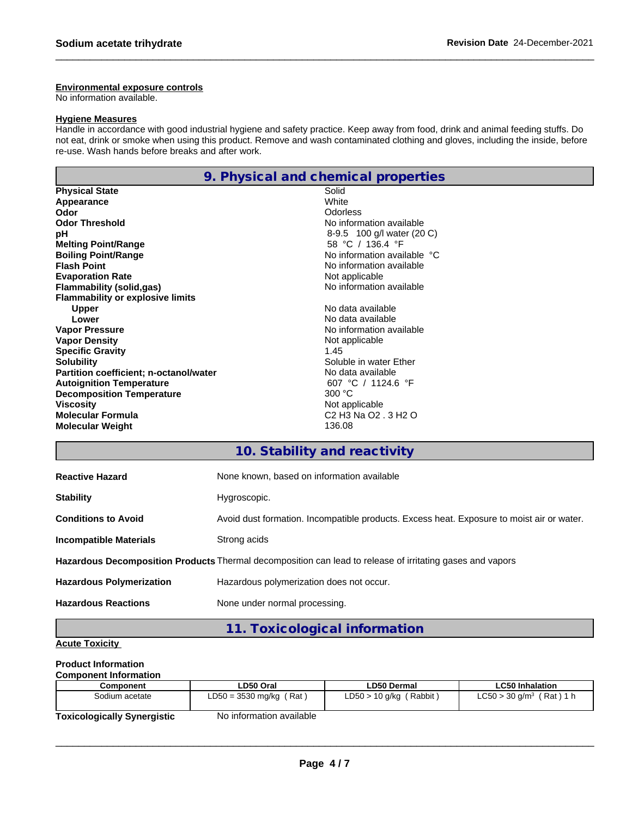#### **Environmental exposure controls**

No information available.

#### **Hygiene Measures**

Handle in accordance with good industrial hygiene and safety practice. Keep away from food, drink and animal feeding stuffs. Do not eat, drink or smoke when using this product. Remove and wash contaminated clothing and gloves, including the inside, before re-use. Wash hands before breaks and after work.

|                                         | 9. Physical and chemical properties                                              |
|-----------------------------------------|----------------------------------------------------------------------------------|
| <b>Physical State</b>                   | Solid                                                                            |
| Appearance                              | White                                                                            |
| Odor                                    | Odorless                                                                         |
| <b>Odor Threshold</b>                   | No information available                                                         |
| рH                                      | 8-9.5 100 g/l water (20 C)                                                       |
| <b>Melting Point/Range</b>              | 58 °C / 136.4 °F                                                                 |
| <b>Boiling Point/Range</b>              | No information available °C                                                      |
| <b>Flash Point</b>                      | No information available                                                         |
| <b>Evaporation Rate</b>                 | Not applicable                                                                   |
| Flammability (solid,gas)                | No information available                                                         |
| <b>Flammability or explosive limits</b> |                                                                                  |
| <b>Upper</b>                            | No data available                                                                |
| Lower                                   | No data available                                                                |
| <b>Vapor Pressure</b>                   | No information available                                                         |
| <b>Vapor Density</b>                    | Not applicable                                                                   |
| <b>Specific Gravity</b>                 | 1.45                                                                             |
| <b>Solubility</b>                       | Soluble in water Ether                                                           |
| Partition coefficient; n-octanol/water  | No data available                                                                |
| <b>Autoignition Temperature</b>         | 607 °C / 1124.6 °F                                                               |
| <b>Decomposition Temperature</b>        | 300 °C                                                                           |
| Viscosity                               | Not applicable                                                                   |
| <b>Molecular Formula</b>                | C <sub>2</sub> H <sub>3</sub> N <sub>a</sub> O <sub>2</sub> . 3 H <sub>2</sub> O |
| <b>Molecular Weight</b>                 | 136.08                                                                           |

# **10. Stability and reactivity**

| <b>Reactive Hazard</b>          | None known, based on information available                                                                |
|---------------------------------|-----------------------------------------------------------------------------------------------------------|
| <b>Stability</b>                | Hygroscopic.                                                                                              |
| <b>Conditions to Avoid</b>      | Avoid dust formation. Incompatible products. Excess heat. Exposure to moist air or water.                 |
| <b>Incompatible Materials</b>   | Strong acids                                                                                              |
|                                 | Hazardous Decomposition Products Thermal decomposition can lead to release of irritating gases and vapors |
| <b>Hazardous Polymerization</b> | Hazardous polymerization does not occur.                                                                  |
| <b>Hazardous Reactions</b>      | None under normal processing.                                                                             |

**11. Toxicological information**

### **Acute Toxicity**

### **Product Information**

| <b>Component Information</b> |                           |                              |                                          |
|------------------------------|---------------------------|------------------------------|------------------------------------------|
| Component                    | LD50 Oral                 | LD50 Dermal                  | <b>LC50 Inhalation</b>                   |
| Sodium acetate               | $LD50 = 3530$ mg/kg (Rat) | (Rabbit)<br>$LD50 > 10$ g/kg | $LC50 > 30$ g/m <sup>3</sup><br>(Rat)1 h |
| Taviaslasisellu Cusarsistia  | No information quailable  |                              |                                          |

**Toxicologically Synergistic** No information available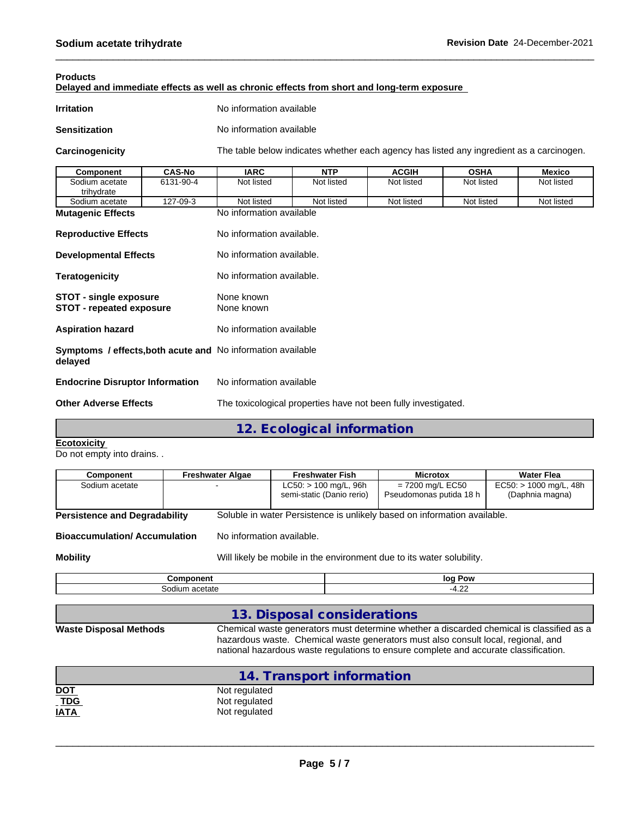#### **Products**

**Delayed and immediate effects as well as chronic effects from short and long-term exposure**

| Irritation | No information available |
|------------|--------------------------|
|            |                          |

**Sensitization** No information available

**Carcinogenicity** The table below indicateswhether each agency has listed any ingredient as a carcinogen.

| Component                                                                                      | <b>CAS-No</b> | <b>IARC</b>               | <b>NTP</b> | <b>ACGIH</b> | <b>OSHA</b> | <b>Mexico</b> |
|------------------------------------------------------------------------------------------------|---------------|---------------------------|------------|--------------|-------------|---------------|
| Sodium acetate<br>trihydrate                                                                   | 6131-90-4     | Not listed                | Not listed | Not listed   | Not listed  | Not listed    |
| Sodium acetate                                                                                 | 127-09-3      | Not listed                | Not listed | Not listed   | Not listed  | Not listed    |
| <b>Mutagenic Effects</b>                                                                       |               | No information available  |            |              |             |               |
| <b>Reproductive Effects</b>                                                                    |               | No information available. |            |              |             |               |
| <b>Developmental Effects</b>                                                                   |               | No information available. |            |              |             |               |
| <b>Teratogenicity</b>                                                                          |               | No information available. |            |              |             |               |
| <b>STOT - single exposure</b><br><b>STOT - repeated exposure</b>                               |               | None known<br>None known  |            |              |             |               |
| <b>Aspiration hazard</b>                                                                       |               | No information available  |            |              |             |               |
| <b>Symptoms / effects, both acute and No information available</b><br>delayed                  |               |                           |            |              |             |               |
| <b>Endocrine Disruptor Information</b>                                                         |               | No information available  |            |              |             |               |
| The toxicological properties have not been fully investigated.<br><b>Other Adverse Effects</b> |               |                           |            |              |             |               |
|                                                                                                |               |                           |            |              |             |               |

**12. Ecological information**

#### **Ecotoxicity**

Do not empty into drains. .

| Component                                                                                | <b>Freshwater Algae</b> | <b>Freshwater Fish</b>                                                   | <b>Microtox</b>                               | <b>Water Flea</b>                           |  |  |
|------------------------------------------------------------------------------------------|-------------------------|--------------------------------------------------------------------------|-----------------------------------------------|---------------------------------------------|--|--|
| Sodium acetate                                                                           |                         | $LC50:$ > 100 mg/L, 96h<br>semi-static (Danio rerio)                     | $= 7200$ mg/L EC50<br>Pseudomonas putida 18 h | $EC50:$ > 1000 mg/L, 48h<br>(Daphnia magna) |  |  |
| <b>Persistence and Degradability</b>                                                     |                         | Soluble in water Persistence is unlikely based on information available. |                                               |                                             |  |  |
| <b>Bioaccumulation/Accumulation</b>                                                      |                         | No information available.                                                |                                               |                                             |  |  |
| Will likely be mobile in the environment due to its water solubility.<br><b>Mobility</b> |                         |                                                                          |                                               |                                             |  |  |

| amnanant | Pow    |
|----------|--------|
| nт       | loa    |
| ш        | $\sim$ |
| -ιαιν    | $-4$   |
| ┚┙       | ᠇.∠∠   |

# **13. Disposal considerations**

**Waste Disposal Meth** 

| hods | Chemical waste generators must determine whether a discarded chemical is classified as a |
|------|------------------------------------------------------------------------------------------|
|      | hazardous waste. Chemical waste generators must also consult local, regional, and        |
|      | national hazardous waste regulations to ensure complete and accurate classification.     |
|      |                                                                                          |

|                            | 14. Transport information |
|----------------------------|---------------------------|
|                            | Not regulated             |
| <u>DOT</u><br>_ <u>TDG</u> | Not regulated             |
| <u>IATA</u>                | Not regulated             |
|                            |                           |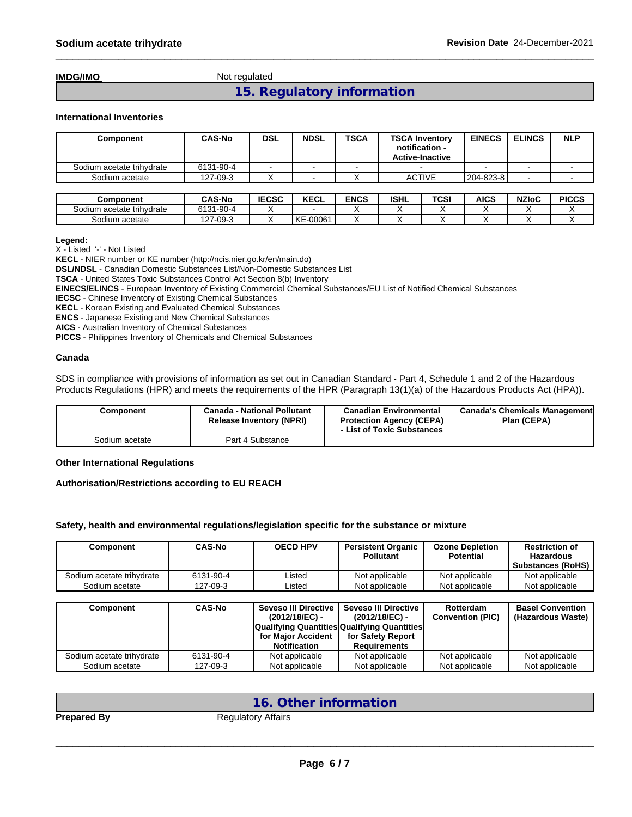**IMDG/IMO** Not regulated

**15. Regulatory information**

#### **International Inventories**

| Component                 | <b>CAS-No</b> | <b>DSL</b>   | <b>NDSL</b> | <b>TSCA</b> | <b>TSCA Inventory</b><br>notification -<br><b>Active-Inactive</b> |      | <b>EINECS</b> | <b>ELINCS</b> | <b>NLP</b>   |
|---------------------------|---------------|--------------|-------------|-------------|-------------------------------------------------------------------|------|---------------|---------------|--------------|
| Sodium acetate trihydrate | 6131-90-4     |              |             |             |                                                                   |      |               |               |              |
| Sodium acetate            | 127-09-3      |              |             |             | <b>ACTIVE</b>                                                     |      | 204-823-8     |               |              |
|                           |               |              |             |             |                                                                   |      |               |               |              |
| Component                 | <b>CAS-No</b> | <b>IECSC</b> | <b>KECL</b> | <b>ENCS</b> | <b>ISHL</b>                                                       | TCSI | AICS          | <b>NZIoC</b>  | <b>PICCS</b> |

| component                 | UAJ-NO                       | :სას<br>œ | <b>NEUL</b> | ENCS | בוסו | יכט | ભાડડ | NZIOU | PIUUJ |
|---------------------------|------------------------------|-----------|-------------|------|------|-----|------|-------|-------|
| Sodium acetate trihvdrate | $1 - 90 - 4$<br>0.404<br>טוס |           |             |      |      |     |      |       |       |
| Sodium<br>ı acetate       | 127-09-3                     |           | -00061<br>∼ |      |      |     |      |       |       |
|                           |                              |           |             |      |      |     |      |       |       |

#### **Legend:**

X - Listed '-' - Not Listed

**KECL** - NIER number or KE number (http://ncis.nier.go.kr/en/main.do)

**DSL/NDSL** - Canadian Domestic Substances List/Non-Domestic Substances List

**TSCA** - United States Toxic Substances Control Act Section 8(b) Inventory

**EINECS/ELINCS** - European Inventory of Existing Commercial Chemical Substances/EU List of Notified Chemical Substances

**IECSC** - Chinese Inventory of Existing Chemical Substances

**KECL** - Korean Existing and Evaluated Chemical Substances

**ENCS** - Japanese Existing and New Chemical Substances

**AICS** - Australian Inventory of Chemical Substances

**PICCS** - Philippines Inventory of Chemicals and Chemical Substances

#### **Canada**

SDS in compliance with provisions of information as set out in Canadian Standard - Part 4, Schedule 1 and 2 of the Hazardous Products Regulations (HPR) and meets the requirements of the HPR (Paragraph 13(1)(a) of the Hazardous Products Act (HPA)).

| Component      | <b>Canada - National Pollutant</b><br><b>Release Inventory (NPRI)</b> | <b>Canadian Environmental</b><br><b>Protection Agency (CEPA)</b><br>- List of Toxic Substances | Canada's Chemicals Management<br>Plan (CEPA) |
|----------------|-----------------------------------------------------------------------|------------------------------------------------------------------------------------------------|----------------------------------------------|
| Sodium acetate | Part 4 Substance                                                      |                                                                                                |                                              |

#### **Other International Regulations**

#### **Authorisation/Restrictions according to EU REACH**

#### **Safety, health and environmental regulations/legislation specific for the substance or mixture**

| Component                 | <b>CAS-No</b> | <b>OECD HPV</b> | <b>Persistent Organic</b><br><b>Pollutant</b> | <b>Ozone Depletion</b><br><b>Potential</b> | <b>Restriction of</b><br><b>Hazardous</b><br><b>Substances (RoHS)</b> |
|---------------------------|---------------|-----------------|-----------------------------------------------|--------------------------------------------|-----------------------------------------------------------------------|
| Sodium acetate trihydrate | 6131-90-4     | Listed          | Not applicable                                | Not applicable                             | Not applicable                                                        |
| Sodium acetate            | 127-09-3      | _isted          | Not applicable                                | Not applicable                             | Not applicable                                                        |

| Component                 | <b>CAS-No</b> | Seveso III Directive<br>(2012/18/EC) -<br><b>Qualifying Quantities Qualifying Quantities</b> | Seveso III Directive<br>(2012/18/EC) - | Rotterdam<br><b>Convention (PIC)</b> | <b>Basel Convention</b><br>(Hazardous Waste) |
|---------------------------|---------------|----------------------------------------------------------------------------------------------|----------------------------------------|--------------------------------------|----------------------------------------------|
|                           |               | for Maior Accident                                                                           | for Safety Report                      |                                      |                                              |
|                           |               | <b>Notification</b>                                                                          | <b>Requirements</b>                    |                                      |                                              |
| Sodium acetate trihydrate | 6131-90-4     | Not applicable                                                                               | Not applicable                         | Not applicable                       | Not applicable                               |
| Sodium acetate            | 127-09-3      | Not applicable                                                                               | Not applicable                         | Not applicable                       | Not applicable                               |

# **16. Other information**

**Prepared By** Regulatory Affairs